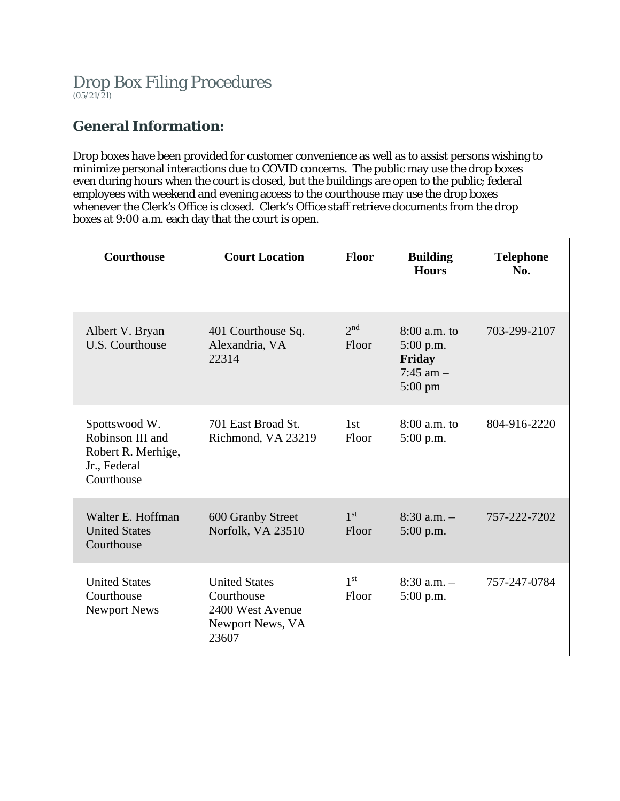# **General Information:**

Drop boxes have been provided for customer convenience as well as to assist persons wishing to minimize personal interactions due to COVID concerns. The public may use the drop boxes even during hours when the court is closed, but the buildings are open to the public; federal employees with weekend and evening access to the courthouse may use the drop boxes whenever the Clerk's Office is closed. Clerk's Office staff retrieve documents from the drop boxes at 9:00 a.m. each day that the court is open.

| <b>Courthouse</b>                                                                     | <b>Court Location</b>                                                               | <b>Floor</b>             | <b>Building</b><br><b>Hours</b>                                   | <b>Telephone</b><br>No. |
|---------------------------------------------------------------------------------------|-------------------------------------------------------------------------------------|--------------------------|-------------------------------------------------------------------|-------------------------|
| Albert V. Bryan<br>U.S. Courthouse                                                    | 401 Courthouse Sq.<br>Alexandria, VA<br>22314                                       | 2 <sup>nd</sup><br>Floor | $8:00$ a.m. to<br>5:00 p.m.<br>Friday<br>$7:45$ am $-$<br>5:00 pm | 703-299-2107            |
| Spottswood W.<br>Robinson III and<br>Robert R. Merhige,<br>Jr., Federal<br>Courthouse | 701 East Broad St.<br>Richmond, VA 23219                                            | 1st<br>Floor             | $8:00$ a.m. to<br>5:00 p.m.                                       | 804-916-2220            |
| Walter E. Hoffman<br><b>United States</b><br>Courthouse                               | 600 Granby Street<br>Norfolk, VA 23510                                              | 1 <sup>st</sup><br>Floor | $8:30$ a.m. $-$<br>5:00 p.m.                                      | 757-222-7202            |
| <b>United States</b><br>Courthouse<br><b>Newport News</b>                             | <b>United States</b><br>Courthouse<br>2400 West Avenue<br>Newport News, VA<br>23607 | 1 <sup>st</sup><br>Floor | $8:30$ a.m. $-$<br>$5:00$ p.m.                                    | 757-247-0784            |